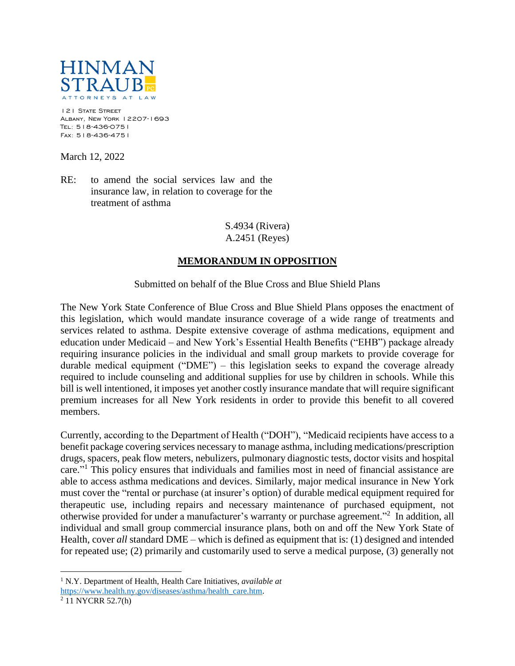

121 STATE STREET Albany, New York 12207-1693 Tel: 518-436-0751 Fax: 518-436-4751

March 12, 2022

RE: to amend the social services law and the insurance law, in relation to coverage for the treatment of asthma

> S.4934 (Rivera) A.2451 (Reyes)

## **MEMORANDUM IN OPPOSITION**

Submitted on behalf of the Blue Cross and Blue Shield Plans

The New York State Conference of Blue Cross and Blue Shield Plans opposes the enactment of this legislation, which would mandate insurance coverage of a wide range of treatments and services related to asthma. Despite extensive coverage of asthma medications, equipment and education under Medicaid – and New York's Essential Health Benefits ("EHB") package already requiring insurance policies in the individual and small group markets to provide coverage for durable medical equipment ("DME") – this legislation seeks to expand the coverage already required to include counseling and additional supplies for use by children in schools. While this bill is well intentioned, it imposes yet another costly insurance mandate that will require significant premium increases for all New York residents in order to provide this benefit to all covered members.

Currently, according to the Department of Health ("DOH"), "Medicaid recipients have access to a benefit package covering services necessary to manage asthma, including medications/prescription drugs, spacers, peak flow meters, nebulizers, pulmonary diagnostic tests, doctor visits and hospital care."<sup>1</sup> This policy ensures that individuals and families most in need of financial assistance are able to access asthma medications and devices. Similarly, major medical insurance in New York must cover the "rental or purchase (at insurer's option) of durable medical equipment required for therapeutic use, including repairs and necessary maintenance of purchased equipment, not otherwise provided for under a manufacturer's warranty or purchase agreement."<sup>2</sup> In addition, all individual and small group commercial insurance plans, both on and off the New York State of Health, cover *all* standard DME – which is defined as equipment that is: (1) designed and intended for repeated use; (2) primarily and customarily used to serve a medical purpose, (3) generally not

 $\overline{a}$ <sup>1</sup> N.Y. Department of Health, Health Care Initiatives, *available at* [https://www.health.ny.gov/diseases/asthma/health\\_care.htm.](https://www.health.ny.gov/diseases/asthma/health_care.htm)

<sup>&</sup>lt;sup>2</sup> 11 NYCRR 52.7(h)